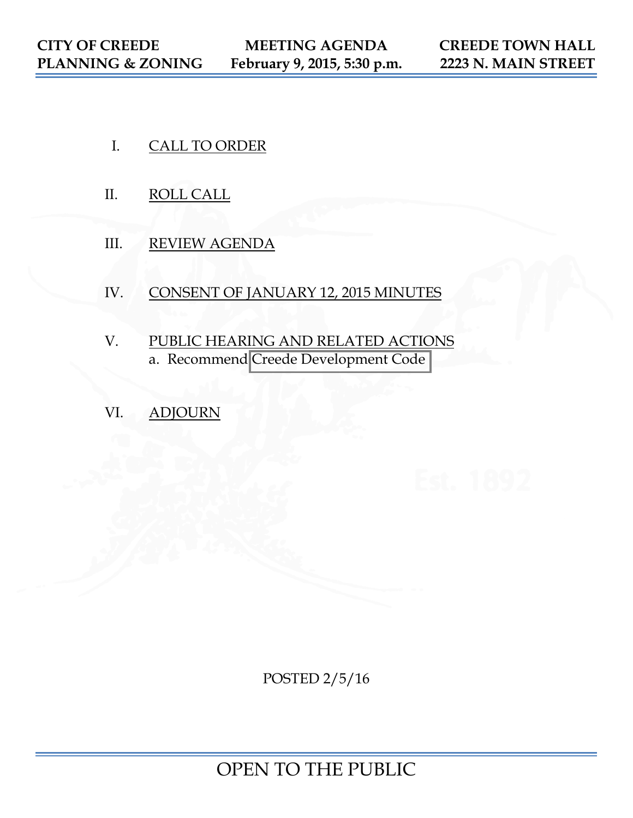- I. CALL TO ORDER
- II. ROLL CALL
- III. REVIEW AGENDA
- IV. CONSENT OF JANUARY 12, 2015 MINUTES
- V. PUBLIC HEARING AND RELATED ACTIONS a. Recommend [Creede Development Code](https://www.colorado.gov/pacific/sites/default/files/CDC%202.5.16%20DRAFT.pdf)
- VI. ADJOURN

POSTED 2/5/16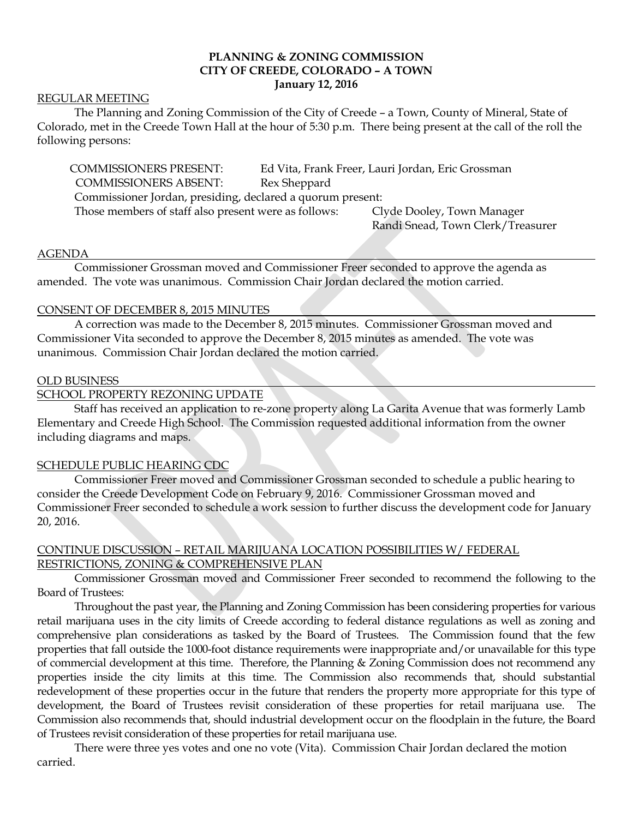# **PLANNING & ZONING COMMISSION CITY OF CREEDE, COLORADO – A TOWN January 12, 2016**

### REGULAR MEETING

The Planning and Zoning Commission of the City of Creede – a Town, County of Mineral, State of Colorado, met in the Creede Town Hall at the hour of 5:30 p.m. There being present at the call of the roll the following persons:

COMMISSIONERS PRESENT: Ed Vita, Frank Freer, Lauri Jordan, Eric Grossman COMMISSIONERS ABSENT: Rex Sheppard Commissioner Jordan, presiding, declared a quorum present: Those members of staff also present were as follows: Clyde Dooley, Town Manager

Randi Snead, Town Clerk/Treasurer

#### AGENDA

Commissioner Grossman moved and Commissioner Freer seconded to approve the agenda as amended. The vote was unanimous. Commission Chair Jordan declared the motion carried.

### CONSENT OF DECEMBER 8, 2015 MINUTES

A correction was made to the December 8, 2015 minutes. Commissioner Grossman moved and Commissioner Vita seconded to approve the December 8, 2015 minutes as amended. The vote was unanimous. Commission Chair Jordan declared the motion carried.

#### OLD BUSINESS

## SCHOOL PROPERTY REZONING UPDATE

Staff has received an application to re-zone property along La Garita Avenue that was formerly Lamb Elementary and Creede High School. The Commission requested additional information from the owner including diagrams and maps.

## SCHEDULE PUBLIC HEARING CDC

Commissioner Freer moved and Commissioner Grossman seconded to schedule a public hearing to consider the Creede Development Code on February 9, 2016. Commissioner Grossman moved and Commissioner Freer seconded to schedule a work session to further discuss the development code for January 20, 2016.

# CONTINUE DISCUSSION – RETAIL MARIJUANA LOCATION POSSIBILITIES W/ FEDERAL RESTRICTIONS, ZONING & COMPREHENSIVE PLAN

Commissioner Grossman moved and Commissioner Freer seconded to recommend the following to the Board of Trustees:

Throughout the past year, the Planning and Zoning Commission has been considering properties for various retail marijuana uses in the city limits of Creede according to federal distance regulations as well as zoning and comprehensive plan considerations as tasked by the Board of Trustees. The Commission found that the few properties that fall outside the 1000-foot distance requirements were inappropriate and/or unavailable for this type of commercial development at this time. Therefore, the Planning & Zoning Commission does not recommend any properties inside the city limits at this time. The Commission also recommends that, should substantial redevelopment of these properties occur in the future that renders the property more appropriate for this type of development, the Board of Trustees revisit consideration of these properties for retail marijuana use. The Commission also recommends that, should industrial development occur on the floodplain in the future, the Board of Trustees revisit consideration of these properties for retail marijuana use.

There were three yes votes and one no vote (Vita). Commission Chair Jordan declared the motion carried.